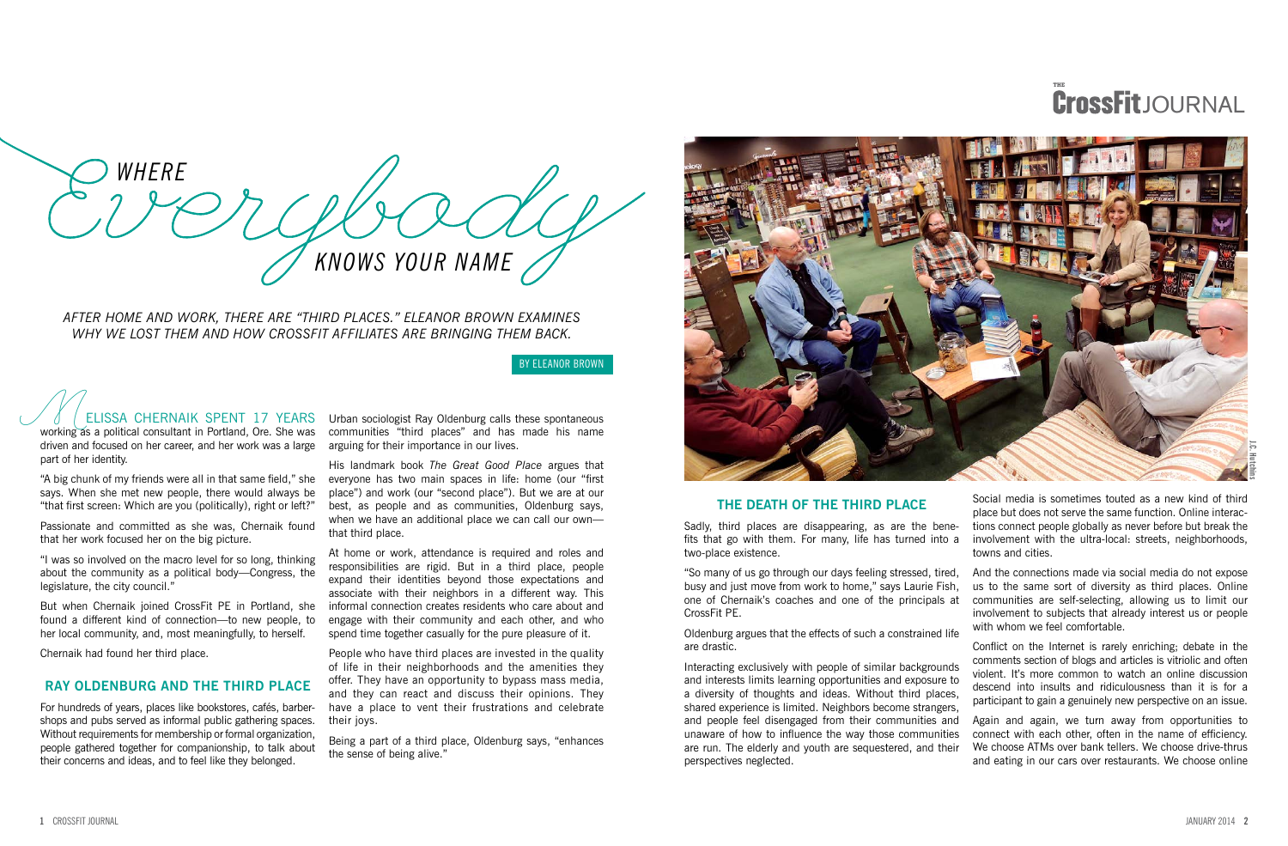# **THE** JOURNAL

ELISSA CHERNAIK SPENT 17 YEARS working as a political consultant in Portland, Ore. She was driven and focused on her career, and her work was a large part of her identity.

"A big chunk of my friends were all in that same field," she says. When she met new people, there would always be "that first screen: Which are you (politically), right or left?"

Passionate and committed as she was, Chernaik found that her work focused her on the big picture.

"I was so involved on the macro level for so long, thinking about the community as a political body—Congress, the legislature, the city council."

But when Chernaik joined CrossFit PE in Portland, she found a different kind of connection—to new people, to her local community, and, most meaningfully, to herself.

Chernaik had found her third place.

## **RAY OLDENBURG AND THE THIRD PLACE**

For hundreds of years, places like bookstores, cafés, barbershops and pubs served as informal public gathering spaces. Without requirements for membership or formal organization, people gathered together for companionship, to talk about their concerns and ideas, and to feel like they belonged.

Urban sociologist Ray Oldenburg calls these spontaneous communities "third places" and has made his name arguing for their importance in our lives.

His landmark book *The Great Good Place* argues that everyone has two main spaces in life: home (our "first place") and work (our "second place"). But we are at our best, as people and as communities, Oldenburg says, when we have an additional place we can call our own that third place.

At home or work, attendance is required and roles and responsibilities are rigid. But in a third place, people expand their identities beyond those expectations and associate with their neighbors in a different way. This informal connection creates residents who care about and engage with their community and each other, and who spend time together casually for the pure pleasure of it.

People who have third places are invested in the quality of life in their neighborhoods and the amenities they offer. They have an opportunity to bypass mass media, and they can react and discuss their opinions. They have a place to vent their frustrations and celebrate their joys.

Being a part of a third place, Oldenburg says, "enhances the sense of being alive."



*AFTER HOME AND WORK, THERE ARE "THIRD PLACES." ELEANOR BROWN EXAMINES WHY WE LOST THEM AND HOW CROSSFIT AFFILIATES ARE BRINGING THEM BACK.*

BY ELEANOR BROWN

## **THE DEATH OF THE THIRD PLACE**

Sadly, third places are disappearing, as are the benefits that go with them. For many, life has turned into a two-place existence.

"So many of us go through our days feeling stressed, tired, busy and just move from work to home," says Laurie Fish, one of Chernaik's coaches and one of the principals at CrossFit PE.

Oldenburg argues that the effects of such a constrained life are drastic.

Interacting exclusively with people of similar backgrounds and interests limits learning opportunities and exposure to a diversity of thoughts and ideas. Without third places, shared experience is limited. Neighbors become strangers, and people feel disengaged from their communities and unaware of how to influence the way those communities are run. The elderly and youth are sequestered, and their perspectives neglected.

Social media is sometimes touted as a new kind of third place but does not serve the same function. Online interactions connect people globally as never before but break the involvement with the ultra-local: streets, neighborhoods, towns and cities.

And the connections made via social media do not expose us to the same sort of diversity as third places. Online communities are self-selecting, allowing us to limit our involvement to subjects that already interest us or people with whom we feel comfortable.

Conflict on the Internet is rarely enriching; debate in the comments section of blogs and articles is vitriolic and often violent. It's more common to watch an online discussion descend into insults and ridiculousness than it is for a participant to gain a genuinely new perspective on an issue.

Again and again, we turn away from opportunities to connect with each other, often in the name of efficiency. We choose ATMs over bank tellers. We choose drive-thrus and eating in our cars over restaurants. We choose online

*WHERE KNOWS YOUR NAME*

**J.C. Hutchins**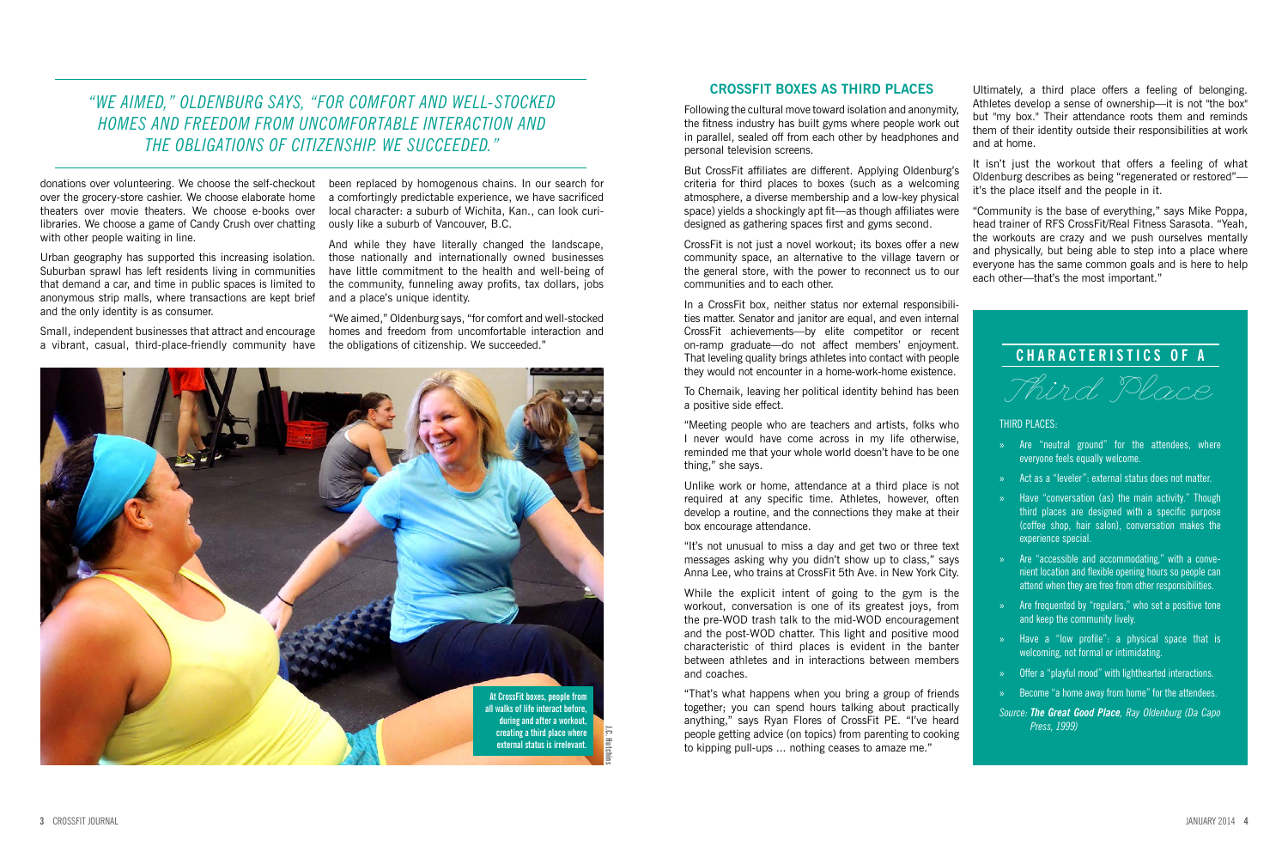Urban geography has supported this increasing isolation. Suburban sprawl has left residents living in communities that demand a car, and time in public spaces is limited to anonymous strip malls, where transactions are kept brief and the only identity is as consumer.

Small, independent businesses that attract and encourage a vibrant, casual, third-place-friendly community have

been replaced by homogenous chains. In our search for a comfortingly predictable experience, we have sacrificed local character: a suburb of Wichita, Kan., can look curiously like a suburb of Vancouver, B.C.

And while they have literally changed the landscape, those nationally and internationally owned businesses have little commitment to the health and well-being of the community, funneling away profits, tax dollars, jobs and a place's unique identity.

"We aimed," Oldenburg says, "for comfort and well-stocked homes and freedom from uncomfortable interaction and the obligations of citizenship. We succeeded."

## **CROSSFIT BOXES AS THIRD PLACES**

Following the cultural move toward isolation and anonymity, the fitness industry has built gyms where people work out in parallel, sealed off from each other by headphones and personal television screens.

But CrossFit affiliates are different. Applying Oldenburg's criteria for third places to boxes (such as a welcoming atmosphere, a diverse membership and a low-key physical space) yields a shockingly apt fit—as though affiliates were designed as gathering spaces first and gyms second.

CrossFit is not just a novel workout; its boxes offer a new community space, an alternative to the village tavern or the general store, with the power to reconnect us to our communities and to each other.

In a CrossFit box, neither status nor external responsibilities matter. Senator and janitor are equal, and even internal CrossFit achievements—by elite competitor or recent on-ramp graduate—do not affect members' enjoyment. That leveling quality brings athletes into contact with people they would not encounter in a home-work-home existence.

# **CHARACTERISTICS OF A** Third Place

To Chernaik, leaving her political identity behind has been a positive side effect.

"Meeting people who are teachers and artists, folks who I never would have come across in my life otherwise, reminded me that your whole world doesn't have to be one thing," she says.

Unlike work or home, attendance at a third place is not required at any specific time. Athletes, however, often develop a routine, and the connections they make at their box encourage attendance.

"It's not unusual to miss a day and get two or three text messages asking why you didn't show up to class," says Anna Lee, who trains at CrossFit 5th Ave. in New York City.

While the explicit intent of going to the gym is the workout, conversation is one of its greatest joys, from the pre-WOD trash talk to the mid-WOD encouragement and the post-WOD chatter. This light and positive mood characteristic of third places is evident in the banter between athletes and in interactions between members and coaches.

"That's what happens when you bring a group of friends together; you can spend hours talking about practically anything," says Ryan Flores of CrossFit PE. "I've heard people getting advice (on topics) from parenting to cooking to kipping pull-ups ... nothing ceases to amaze me."

Ultimately, a third place offers a feeling of belonging. Athletes develop a sense of ownership—it is not "the box" but "my box." Their attendance roots them and reminds them of their identity outside their responsibilities at work

and at home.

It isn't just the workout that offers a feeling of what Oldenburg describes as being "regenerated or restored" it's the place itself and the people in it.

"Community is the base of everything," says Mike Poppa, head trainer of RFS CrossFit/Real Fitness Sarasota. "Yeah, the workouts are crazy and we push ourselves mentally and physically, but being able to step into a place where everyone has the same common goals and is here to help each other—that's the most important."

# *"WE AIMED," OLDENBURG SAYS, "FOR COMFORT AND WELL-STOCKED HOMES AND FREEDOM FROM UNCOMFORTABLE INTERACTION AND THE OBLIGATIONS OF CITIZENSHIP. WE SUCCEEDED."*

donations over volunteering. We choose the self-checkout over the grocery-store cashier. We choose elaborate home theaters over movie theaters. We choose e-books over libraries. We choose a game of Candy Crush over chatting with other people waiting in line.

#### THIRD PLACES:

» Are "neutral ground" for the attendees, where everyone feels equally welcome.

» Act as a "leveler": external status does not matter.

» Have "conversation (as) the main activity." Though third places are designed with a specific purpose (coffee shop, hair salon), conversation makes the experience special.

» Are "accessible and accommodating," with a convenient location and flexible opening hours so people can attend when they are free from other responsibilities.

» Are frequented by "regulars," who set a positive tone and keep the community lively.

» Have a "low profile": a physical space that is welcoming, not formal or intimidating.

» Offer a "playful mood" with lighthearted interactions.

» Become "a home away from home" for the attendees.

*Source: The Great Good Place, Ray Oldenburg (Da Capo Press, 1999)*